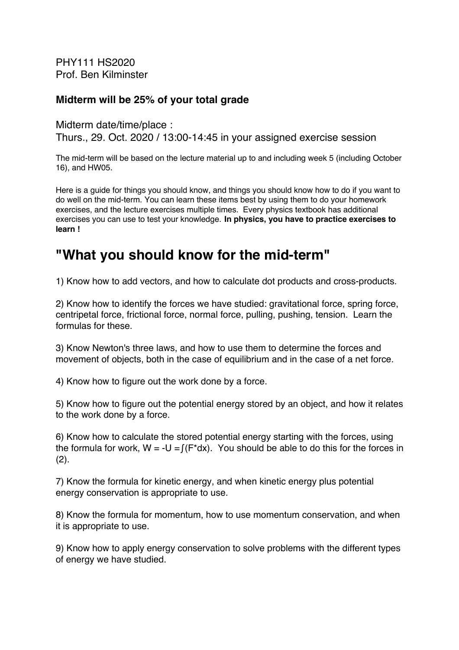PHY111 HS2020 Prof. Ben Kilminster

## **Midterm will be 25% of your total grade**

Midterm date/time/place :

Thurs., 29. Oct. 2020 / 13:00-14:45 in your assigned exercise session

The mid-term will be based on the lecture material up to and including week 5 (including October 16), and HW05.

Here is a guide for things you should know, and things you should know how to do if you want to do well on the mid-term. You can learn these items best by using them to do your homework exercises, and the lecture exercises multiple times. Every physics textbook has additional exercises you can use to test your knowledge. **In physics, you have to practice exercises to learn !**

## **"What you should know for the mid-term"**

1) Know how to add vectors, and how to calculate dot products and cross-products.

2) Know how to identify the forces we have studied: gravitational force, spring force, centripetal force, frictional force, normal force, pulling, pushing, tension. Learn the formulas for these.

3) Know Newton's three laws, and how to use them to determine the forces and movement of objects, both in the case of equilibrium and in the case of a net force.

4) Know how to figure out the work done by a force.

5) Know how to figure out the potential energy stored by an object, and how it relates to the work done by a force.

6) Know how to calculate the stored potential energy starting with the forces, using the formula for work,  $W = -U = f(F^*dx)$ . You should be able to do this for the forces in  $(2)$ .

7) Know the formula for kinetic energy, and when kinetic energy plus potential energy conservation is appropriate to use.

8) Know the formula for momentum, how to use momentum conservation, and when it is appropriate to use.

9) Know how to apply energy conservation to solve problems with the different types of energy we have studied.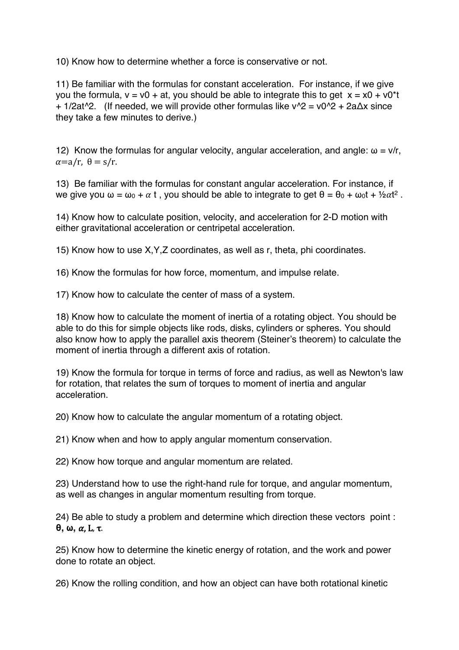10) Know how to determine whether a force is conservative or not.

11) Be familiar with the formulas for constant acceleration. For instance, if we give you the formula,  $v = v0 + at$ , you should be able to integrate this to get  $x = x0 + v0<sup>*</sup>t$  $+$  1/2at^2. (If needed, we will provide other formulas like v^2 = v0^2 + 2a $\Delta x$  since they take a few minutes to derive.)

12) Know the formulas for angular velocity, angular acceleration, and angle:  $\omega = v/r$ ,  $\alpha = a/r$ ,  $\theta = s/r$ .

13) Be familiar with the formulas for constant angular acceleration. For instance, if we give you ω = ω<sub>0</sub> + α t, you should be able to integrate to get  $\theta = \theta_0 + \omega_0 t + \frac{1}{2} \alpha t^2$ .

14) Know how to calculate position, velocity, and acceleration for 2-D motion with either gravitational acceleration or centripetal acceleration.

15) Know how to use X,Y,Z coordinates, as well as r, theta, phi coordinates.

16) Know the formulas for how force, momentum, and impulse relate.

17) Know how to calculate the center of mass of a system.

18) Know how to calculate the moment of inertia of a rotating object. You should be able to do this for simple objects like rods, disks, cylinders or spheres. You should also know how to apply the parallel axis theorem (Steiner's theorem) to calculate the moment of inertia through a different axis of rotation.

19) Know the formula for torque in terms of force and radius, as well as Newton's law for rotation, that relates the sum of torques to moment of inertia and angular acceleration.

20) Know how to calculate the angular momentum of a rotating object.

21) Know when and how to apply angular momentum conservation.

22) Know how torque and angular momentum are related.

23) Understand how to use the right-hand rule for torque, and angular momentum, as well as changes in angular momentum resulting from torque.

24) Be able to study a problem and determine which direction these vectors point : **θ, ω,** , L, τ. 

25) Know how to determine the kinetic energy of rotation, and the work and power done to rotate an object.

26) Know the rolling condition, and how an object can have both rotational kinetic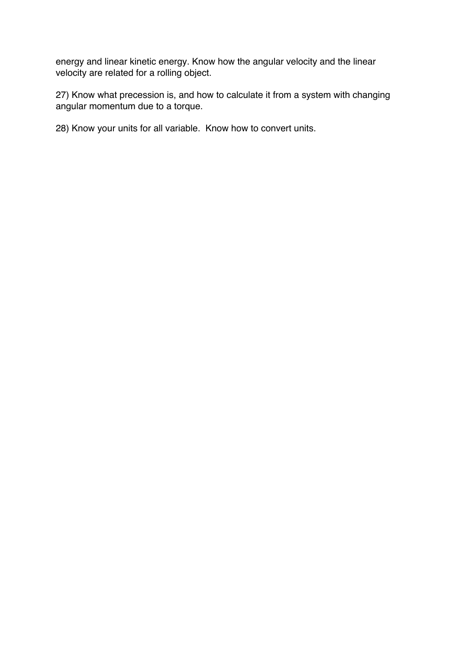energy and linear kinetic energy. Know how the angular velocity and the linear velocity are related for a rolling object.

27) Know what precession is, and how to calculate it from a system with changing angular momentum due to a torque.

28) Know your units for all variable. Know how to convert units.